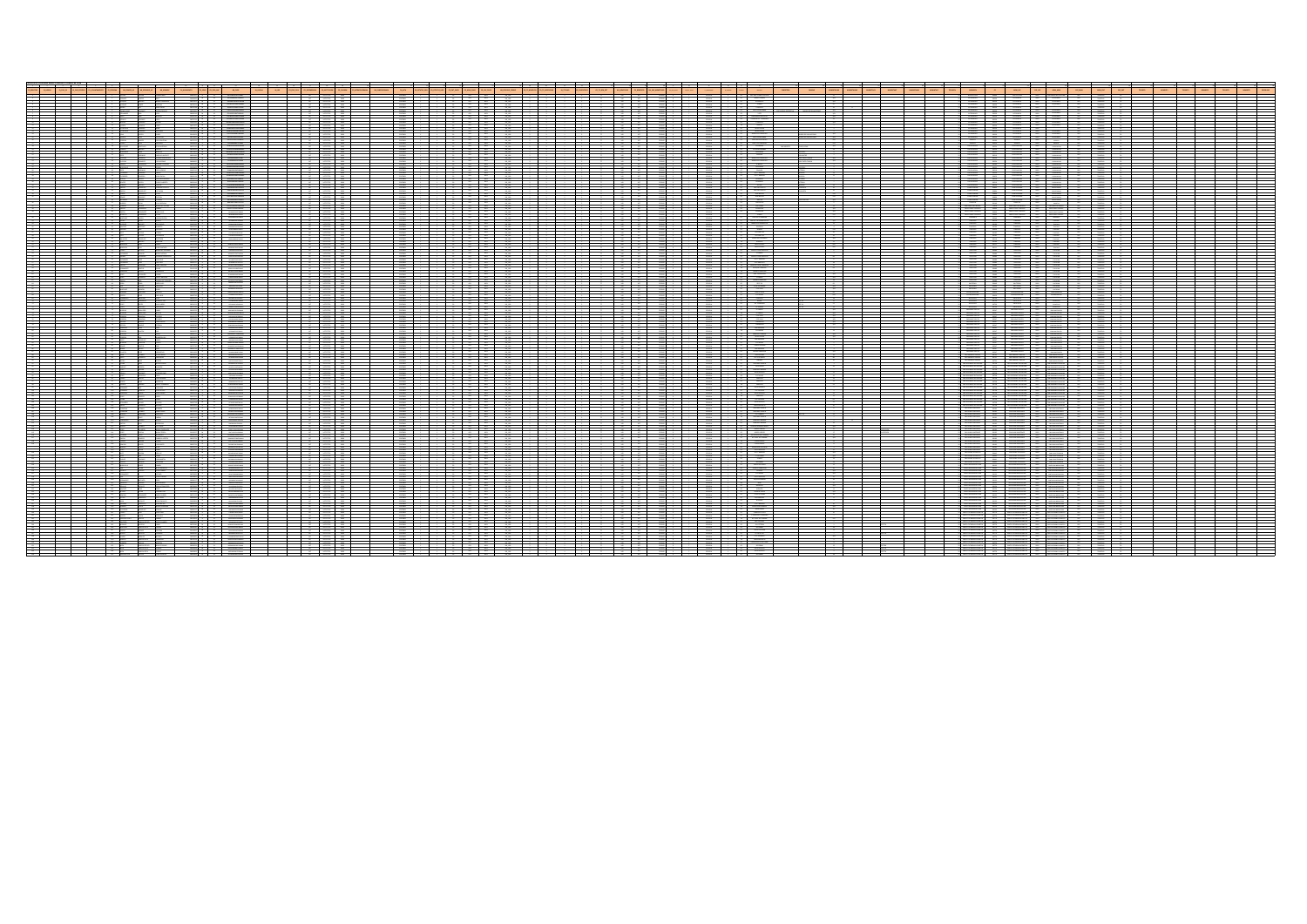|  |  |  |        |  |  |  | ▆    |  |  |  |  |
|--|--|--|--------|--|--|--|------|--|--|--|--|
|  |  |  |        |  |  |  |      |  |  |  |  |
|  |  |  |        |  |  |  |      |  |  |  |  |
|  |  |  |        |  |  |  |      |  |  |  |  |
|  |  |  |        |  |  |  |      |  |  |  |  |
|  |  |  |        |  |  |  |      |  |  |  |  |
|  |  |  |        |  |  |  |      |  |  |  |  |
|  |  |  |        |  |  |  |      |  |  |  |  |
|  |  |  |        |  |  |  |      |  |  |  |  |
|  |  |  |        |  |  |  |      |  |  |  |  |
|  |  |  |        |  |  |  |      |  |  |  |  |
|  |  |  |        |  |  |  |      |  |  |  |  |
|  |  |  |        |  |  |  |      |  |  |  |  |
|  |  |  |        |  |  |  |      |  |  |  |  |
|  |  |  |        |  |  |  |      |  |  |  |  |
|  |  |  |        |  |  |  |      |  |  |  |  |
|  |  |  |        |  |  |  |      |  |  |  |  |
|  |  |  |        |  |  |  |      |  |  |  |  |
|  |  |  |        |  |  |  |      |  |  |  |  |
|  |  |  |        |  |  |  |      |  |  |  |  |
|  |  |  |        |  |  |  |      |  |  |  |  |
|  |  |  |        |  |  |  |      |  |  |  |  |
|  |  |  |        |  |  |  |      |  |  |  |  |
|  |  |  |        |  |  |  |      |  |  |  |  |
|  |  |  |        |  |  |  |      |  |  |  |  |
|  |  |  |        |  |  |  |      |  |  |  |  |
|  |  |  |        |  |  |  |      |  |  |  |  |
|  |  |  |        |  |  |  |      |  |  |  |  |
|  |  |  | ------ |  |  |  | - 11 |  |  |  |  |
|  |  |  |        |  |  |  |      |  |  |  |  |
|  |  |  |        |  |  |  |      |  |  |  |  |
|  |  |  |        |  |  |  |      |  |  |  |  |
|  |  |  |        |  |  |  |      |  |  |  |  |
|  |  |  |        |  |  |  |      |  |  |  |  |
|  |  |  |        |  |  |  |      |  |  |  |  |
|  |  |  |        |  |  |  |      |  |  |  |  |
|  |  |  |        |  |  |  |      |  |  |  |  |
|  |  |  |        |  |  |  |      |  |  |  |  |
|  |  |  |        |  |  |  |      |  |  |  |  |
|  |  |  |        |  |  |  |      |  |  |  |  |
|  |  |  |        |  |  |  |      |  |  |  |  |
|  |  |  |        |  |  |  |      |  |  |  |  |
|  |  |  |        |  |  |  |      |  |  |  |  |
|  |  |  |        |  |  |  |      |  |  |  |  |
|  |  |  |        |  |  |  |      |  |  |  |  |
|  |  |  |        |  |  |  |      |  |  |  |  |
|  |  |  |        |  |  |  |      |  |  |  |  |
|  |  |  |        |  |  |  |      |  |  |  |  |
|  |  |  |        |  |  |  |      |  |  |  |  |
|  |  |  |        |  |  |  |      |  |  |  |  |
|  |  |  |        |  |  |  |      |  |  |  |  |
|  |  |  |        |  |  |  | ▆    |  |  |  |  |
|  |  |  |        |  |  |  |      |  |  |  |  |
|  |  |  |        |  |  |  |      |  |  |  |  |
|  |  |  |        |  |  |  |      |  |  |  |  |
|  |  |  |        |  |  |  |      |  |  |  |  |
|  |  |  |        |  |  |  |      |  |  |  |  |
|  |  |  |        |  |  |  |      |  |  |  |  |
|  |  |  |        |  |  |  |      |  |  |  |  |
|  |  |  |        |  |  |  |      |  |  |  |  |
|  |  |  |        |  |  |  |      |  |  |  |  |
|  |  |  |        |  |  |  |      |  |  |  |  |
|  |  |  |        |  |  |  |      |  |  |  |  |
|  |  |  |        |  |  |  |      |  |  |  |  |
|  |  |  |        |  |  |  |      |  |  |  |  |